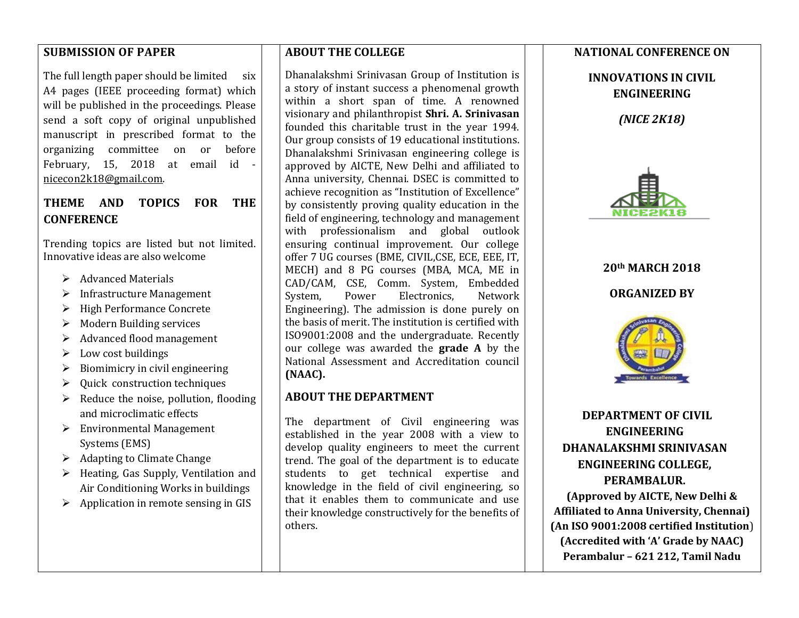#### **SUBMISSION OF PAPER**

The full length paper should be limited six A4 pages (IEEE proceeding format) which will be published in the proceedings. Please send a soft copy of original unpublished manuscript in prescribed format to the organizing committee on or before February, 15, 2018 at email id [nicecon2k18@gmail.com.](mailto:nicecon2k18@gmail.com) 

#### **THEME AND TOPICS FOR THE CONFERENCE**

Trending topics are listed but not limited. Innovative ideas are also welcome

- $\triangleright$  Advanced Materials
- $\triangleright$  Infrastructure Management
- ▶ High Performance Concrete
- $\triangleright$  Modern Building services
- $\triangleright$  Advanced flood management
- $\triangleright$  Low cost buildings
- $\triangleright$  Biomimicry in civil engineering
- $\triangleright$  Quick construction techniques
- $\triangleright$  Reduce the noise, pollution, flooding and microclimatic effects
- Environmental Management Systems (EMS)
- $\triangleright$  Adapting to Climate Change
- $\triangleright$  Heating, Gas Supply, Ventilation and Air Conditioning Works in buildings
- $\triangleright$  Application in remote sensing in GIS

#### **ABOUT THE COLLEGE**

Dhanalakshmi Srinivasan Group of Institution is a story of instant success a phenomenal growth within a short span of time. A renowned visionary and philanthropist **Shri. A. Srinivasan** founded this charitable trust in the year 1994. Our group consists of 19 educational institutions. Dhanalakshmi Srinivasan engineering college is approved by AICTE, New Delhi and affiliated to Anna university, Chennai. DSEC is committed to achieve recognition as "Institution of Excellence" by consistently proving quality education in the field of engineering, technology and management with professionalism and global outlook ensuring continual improvement. Our college offer 7 UG courses (BME, CIVIL,CSE, ECE, EEE, IT, MECH) and 8 PG courses (MBA, MCA, ME in CAD/CAM, CSE, Comm. System, Embedded System, Power Electronics, Network Engineering). The admission is done purely on the basis of merit. The institution is certified with ISO9001:2008 and the undergraduate. Recently our college was awarded the **grade A** by the National Assessment and Accreditation council **(NAAC).**

#### **ABOUT THE DEPARTMENT**

The department of Civil engineering was established in the year 2008 with a view to develop quality engineers to meet the current trend. The goal of the department is to educate students to get technical expertise and knowledge in the field of civil engineering, so that it enables them to communicate and use their knowledge constructively for the benefits of others.

#### **NATIONAL CONFERENCE ON**

**INNOVATIONS IN CIVIL ENGINEERING**

*(NICE 2K18)*



# **20th MARCH 2018 ORGANIZED BY**



 **DEPARTMENT OF CIVIL ENGINEERING DHANALAKSHMI SRINIVASAN ENGINEERING COLLEGE, PERAMBALUR.**

**(Approved by AICTE, New Delhi & Affiliated to Anna University, Chennai) (An ISO 9001:2008 certified Institution**) **(Accredited with 'A' Grade by NAAC) Perambalur – 621 212, Tamil Nadu**